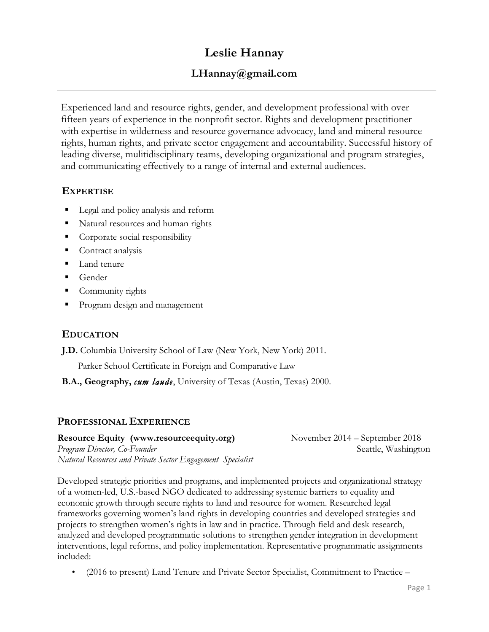# **Leslie Hannay**

# **LHannay@gmail.com**

Experienced land and resource rights, gender, and development professional with over fifteen years of experience in the nonprofit sector. Rights and development practitioner with expertise in wilderness and resource governance advocacy, land and mineral resource rights, human rights, and private sector engagement and accountability. Successful history of leading diverse, mulitidisciplinary teams, developing organizational and program strategies, and communicating effectively to a range of internal and external audiences.

## **EXPERTISE**

- Legal and policy analysis and reform
- Natural resources and human rights
- § Corporate social responsibility
- Contract analysis
- Land tenure
- Gender
- § Community rights
- Program design and management

# **EDUCATION**

**J.D.** Columbia University School of Law (New York, New York) 2011.

Parker School Certificate in Foreign and Comparative Law

**B.A., Geography,** *cum laude*, University of Texas (Austin, Texas) 2000.

## **PROFESSIONAL EXPERIENCE**

**Resource Equity (www.resourceequity.org)** *Program Director, Co-Founder Natural Resources and Private Sector Engagement Specialist* November 2014 – September 2018 Seattle, Washington

Developed strategic priorities and programs, and implemented projects and organizational strategy of a women-led, U.S.-based NGO dedicated to addressing systemic barriers to equality and economic growth through secure rights to land and resource for women. Researched legal frameworks governing women's land rights in developing countries and developed strategies and projects to strengthen women's rights in law and in practice. Through field and desk research, analyzed and developed programmatic solutions to strengthen gender integration in development interventions, legal reforms, and policy implementation. Representative programmatic assignments included:

• (2016 to present) Land Tenure and Private Sector Specialist, Commitment to Practice –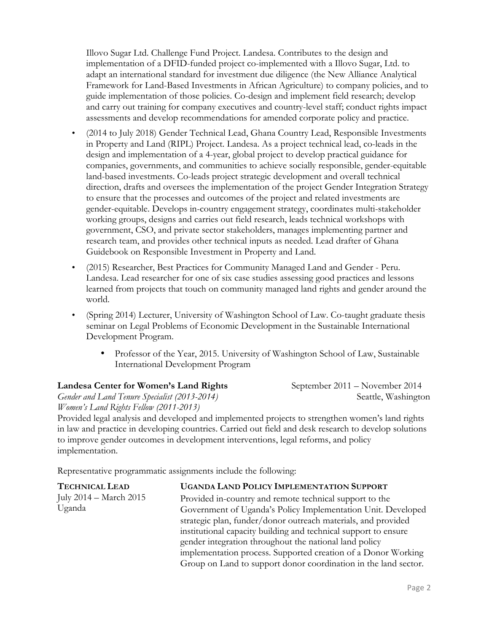Illovo Sugar Ltd. Challenge Fund Project. Landesa. Contributes to the design and implementation of a DFID-funded project co-implemented with a Illovo Sugar, Ltd. to adapt an international standard for investment due diligence (the New Alliance Analytical Framework for Land-Based Investments in African Agriculture) to company policies, and to guide implementation of those policies. Co-design and implement field research; develop and carry out training for company executives and country-level staff; conduct rights impact assessments and develop recommendations for amended corporate policy and practice.

- (2014 to July 2018) Gender Technical Lead, Ghana Country Lead, Responsible Investments in Property and Land (RIPL) Project. Landesa. As a project technical lead, co-leads in the design and implementation of a 4-year, global project to develop practical guidance for companies, governments, and communities to achieve socially responsible, gender-equitable land-based investments. Co-leads project strategic development and overall technical direction, drafts and oversees the implementation of the project Gender Integration Strategy to ensure that the processes and outcomes of the project and related investments are gender-equitable. Develops in-country engagement strategy, coordinates multi-stakeholder working groups, designs and carries out field research, leads technical workshops with government, CSO, and private sector stakeholders, manages implementing partner and research team, and provides other technical inputs as needed. Lead drafter of Ghana Guidebook on Responsible Investment in Property and Land.
- (2015) Researcher, Best Practices for Community Managed Land and Gender Peru. Landesa. Lead researcher for one of six case studies assessing good practices and lessons learned from projects that touch on community managed land rights and gender around the world.
- (Spring 2014) Lecturer, University of Washington School of Law. Co-taught graduate thesis seminar on Legal Problems of Economic Development in the Sustainable International Development Program.
	- Professor of the Year, 2015. University of Washington School of Law, Sustainable International Development Program

#### **Landesa Center for Women's Land Rights**

*Gender and Land Tenure Specialist (2013-2014) Women's Land Rights Fellow (2011-2013)*

Provided legal analysis and developed and implemented projects to strengthen women's land rights in law and practice in developing countries. Carried out field and desk research to develop solutions to improve gender outcomes in development interventions, legal reforms, and policy implementation.

Representative programmatic assignments include the following:

| <b>UGANDA LAND POLICY IMPLEMENTATION SUPPORT</b>                |
|-----------------------------------------------------------------|
| Provided in-country and remote technical support to the         |
| Government of Uganda's Policy Implementation Unit. Developed    |
| strategic plan, funder/donor outreach materials, and provided   |
| institutional capacity building and technical support to ensure |
| gender integration throughout the national land policy          |
| implementation process. Supported creation of a Donor Working   |
| Group on Land to support donor coordination in the land sector. |
|                                                                 |

September 2011 – November 2014 Seattle, Washington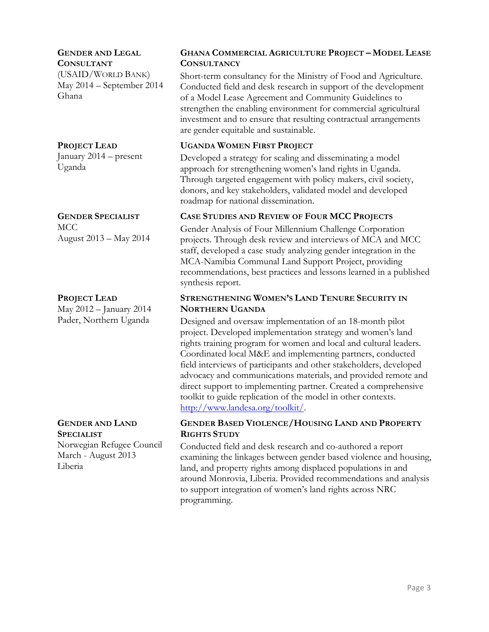#### **GENDER AND LEGAL**

**CONSULTANT** (USAID/WORLD BANK) May 2014 – September 2014 Ghana

#### **PROJECT LEAD**

January 2014 – present Uganda

#### **GENDER SPECIALIST**

MCC August 2013 – May 2014

#### **PROJECT LEAD**

May 2012 – January 2014 Pader, Northern Uganda

# **GENDER AND LAND SPECIALIST**

Norwegian Refugee Council March - August 2013 Liberia

## **GHANA COMMERCIAL AGRICULTURE PROJECT – MODEL LEASE CONSULTANCY**

Short-term consultancy for the Ministry of Food and Agriculture. Conducted field and desk research in support of the development of a Model Lease Agreement and Community Guidelines to strengthen the enabling environment for commercial agricultural investment and to ensure that resulting contractual arrangements are gender equitable and sustainable.

#### **UGANDA WOMEN FIRST PROJECT**

Developed a strategy for scaling and disseminating a model approach for strengthening women's land rights in Uganda. Through targeted engagement with policy makers, civil society, donors, and key stakeholders, validated model and developed roadmap for national dissemination.

#### **CASE STUDIES AND REVIEW OF FOUR MCC PROJECTS**

Gender Analysis of Four Millennium Challenge Corporation projects. Through desk review and interviews of MCA and MCC staff, developed a case study analyzing gender integration in the MCA-Namibia Communal Land Support Project, providing recommendations, best practices and lessons learned in a published synthesis report.

#### **STRENGTHENING WOMEN'S LAND TENURE SECURITY IN NORTHERN UGANDA**

Designed and oversaw implementation of an 18-month pilot project. Developed implementation strategy and women's land rights training program for women and local and cultural leaders. Coordinated local M&E and implementing partners, conducted field interviews of participants and other stakeholders, developed advocacy and communications materials, and provided remote and direct support to implementing partner. Created a comprehensive toolkit to guide replication of the model in other contexts. http://www.landesa.org/toolkit/.

#### **GENDER BASED VIOLENCE/HOUSING LAND AND PROPERTY RIGHTS STUDY**

Conducted field and desk research and co-authored a report examining the linkages between gender based violence and housing, land, and property rights among displaced populations in and around Monrovia, Liberia. Provided recommendations and analysis to support integration of women's land rights across NRC programming.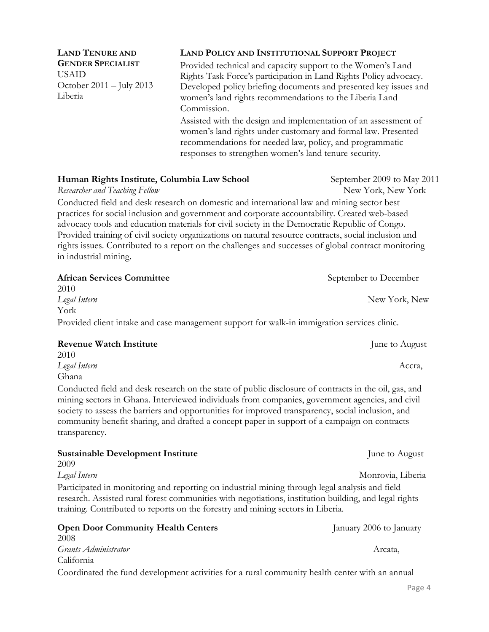Page 4

**LAND TENURE AND GENDER SPECIALIST** USAID October 2011 – July 2013 Liberia

#### **LAND POLICY AND INSTITUTIONAL SUPPORT PROJECT**

Provided technical and capacity support to the Women's Land Rights Task Force's participation in Land Rights Policy advocacy. Developed policy briefing documents and presented key issues and women's land rights recommendations to the Liberia Land Commission.

Assisted with the design and implementation of an assessment of women's land rights under customary and formal law. Presented recommendations for needed law, policy, and programmatic responses to strengthen women's land tenure security.

#### **Human Rights Institute, Columbia Law School September 2009 to May 2011**

Researcher and Teaching Fellow **New York, New York**, New York

Conducted field and desk research on domestic and international law and mining sector best practices for social inclusion and government and corporate accountability. Created web-based advocacy tools and education materials for civil society in the Democratic Republic of Congo. Provided training of civil society organizations on natural resource contracts, social inclusion and rights issues. Contributed to a report on the challenges and successes of global contract monitoring in industrial mining.

| <b>African Services Committee</b>                                                           | September to December |
|---------------------------------------------------------------------------------------------|-----------------------|
| 2010                                                                                        |                       |
| Legal Intern                                                                                | New York, New         |
| York                                                                                        |                       |
| Provided client intake and case management support for walk-in immigration services clinic. |                       |

| <b>Revenue Watch Institute</b>                                                                        | June to August |
|-------------------------------------------------------------------------------------------------------|----------------|
| 2010                                                                                                  |                |
| Legal Intern                                                                                          | Accra.         |
| Ghana                                                                                                 |                |
| Conducted field and desk research on the state of public disclosure of contracts in the oil, gas, and |                |

mining sectors in Ghana. Interviewed individuals from companies, government agencies, and civil society to assess the barriers and opportunities for improved transparency, social inclusion, and community benefit sharing, and drafted a concept paper in support of a campaign on contracts transparency.

| <b>Sustainable Development Institute</b>                                                              | June to August    |  |
|-------------------------------------------------------------------------------------------------------|-------------------|--|
| 2009                                                                                                  |                   |  |
| Legal Intern                                                                                          | Monrovia, Liberia |  |
| Participated in monitoring and reporting on industrial mining through legal analysis and field        |                   |  |
| research. Assisted rural forest communities with negotiations, institution building, and legal rights |                   |  |
| training. Contributed to reports on the forestry and mining sectors in Liberia.                       |                   |  |

## **Open Door Community Health Centers** January 2006 to January 2008 *Grants Administrator* Arcata, California

Coordinated the fund development activities for a rural community health center with an annual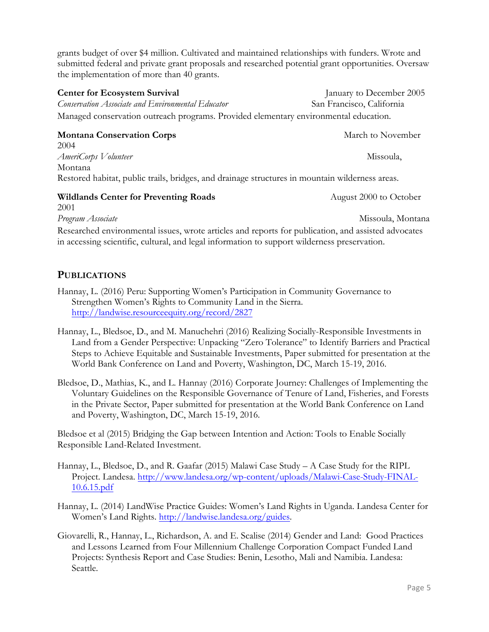grants budget of over \$4 million. Cultivated and maintained relationships with funders. Wrote and submitted federal and private grant proposals and researched potential grant opportunities. Oversaw the implementation of more than 40 grants.

## **Center for Ecosystem Survival**  January to December 2005 *Conservation Associate and Environmental Educator*San Francisco, California Managed conservation outreach programs. Provided elementary environmental education.

## **Montana Conservation Corps March to November March to November**

2004 *AmeriCorps Volunteer* **Missoula**, *Missoula*, *Missoula*, *Missoula*, *Missoula*, *Missoula*, *Missoula*, *Missoula*, *Missoula*, *Missoula*, *Missoula*, *Missoula*, *Missoula*, *Missoula*, *Missoula*, *Missoula*, *Missou* Montana Restored habitat, public trails, bridges, and drainage structures in mountain wilderness areas.

## **Wildlands Center for Preventing Roads** August 2000 to October

2001 *Program Associate*Missoula, Montana

Researched environmental issues, wrote articles and reports for publication, and assisted advocates in accessing scientific, cultural, and legal information to support wilderness preservation.

# **PUBLICATIONS**

- Hannay, L. (2016) Peru: Supporting Women's Participation in Community Governance to Strengthen Women's Rights to Community Land in the Sierra. http://landwise.resourceequity.org/record/2827
- Hannay, L., Bledsoe, D., and M. Manuchehri (2016) Realizing Socially-Responsible Investments in Land from a Gender Perspective: Unpacking "Zero Tolerance" to Identify Barriers and Practical Steps to Achieve Equitable and Sustainable Investments, Paper submitted for presentation at the World Bank Conference on Land and Poverty, Washington, DC, March 15-19, 2016.
- Bledsoe, D., Mathias, K., and L. Hannay (2016) Corporate Journey: Challenges of Implementing the Voluntary Guidelines on the Responsible Governance of Tenure of Land, Fisheries, and Forests in the Private Sector, Paper submitted for presentation at the World Bank Conference on Land and Poverty, Washington, DC, March 15-19, 2016.

Bledsoe et al (2015) Bridging the Gap between Intention and Action: Tools to Enable Socially Responsible Land-Related Investment.

- Hannay, L., Bledsoe, D., and R. Gaafar (2015) Malawi Case Study A Case Study for the RIPL Project. Landesa. http://www.landesa.org/wp-content/uploads/Malawi-Case-Study-FINAL-10.6.15.pdf
- Hannay, L. (2014) LandWise Practice Guides: Women's Land Rights in Uganda. Landesa Center for Women's Land Rights. http://landwise.landesa.org/guides.
- Giovarelli, R., Hannay, L., Richardson, A. and E. Scalise (2014) Gender and Land: Good Practices and Lessons Learned from Four Millennium Challenge Corporation Compact Funded Land Projects: Synthesis Report and Case Studies: Benin, Lesotho, Mali and Namibia. Landesa: Seattle.